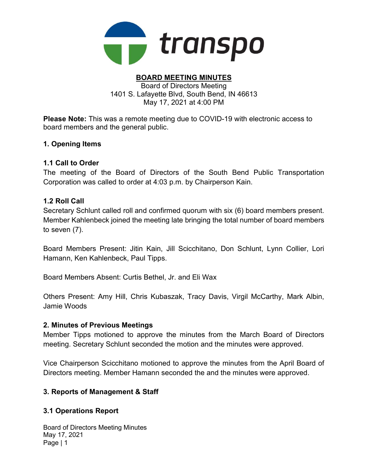

#### BOARD MEETING MINUTES Board of Directors Meeting 1401 S. Lafayette Blvd, South Bend, IN 46613 May 17, 2021 at 4:00 PM

Please Note: This was a remote meeting due to COVID-19 with electronic access to board members and the general public.

#### 1. Opening Items

#### 1.1 Call to Order

The meeting of the Board of Directors of the South Bend Public Transportation Corporation was called to order at 4:03 p.m. by Chairperson Kain.

#### 1.2 Roll Call

Secretary Schlunt called roll and confirmed quorum with six (6) board members present. Member Kahlenbeck joined the meeting late bringing the total number of board members to seven (7).

Board Members Present: Jitin Kain, Jill Scicchitano, Don Schlunt, Lynn Collier, Lori Hamann, Ken Kahlenbeck, Paul Tipps.

Board Members Absent: Curtis Bethel, Jr. and Eli Wax

Others Present: Amy Hill, Chris Kubaszak, Tracy Davis, Virgil McCarthy, Mark Albin, Jamie Woods

#### 2. Minutes of Previous Meetings

Member Tipps motioned to approve the minutes from the March Board of Directors meeting. Secretary Schlunt seconded the motion and the minutes were approved.

Vice Chairperson Scicchitano motioned to approve the minutes from the April Board of Directors meeting. Member Hamann seconded the and the minutes were approved.

### 3. Reports of Management & Staff

### 3.1 Operations Report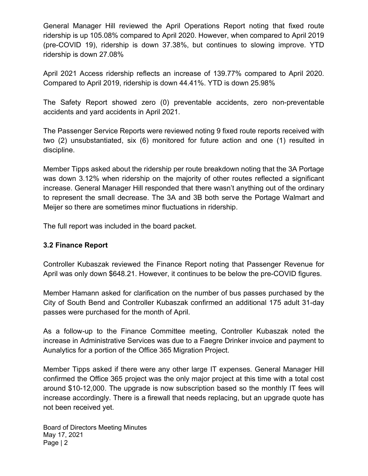General Manager Hill reviewed the April Operations Report noting that fixed route ridership is up 105.08% compared to April 2020. However, when compared to April 2019 (pre-COVID 19), ridership is down 37.38%, but continues to slowing improve. YTD ridership is down 27.08%

April 2021 Access ridership reflects an increase of 139.77% compared to April 2020. Compared to April 2019, ridership is down 44.41%. YTD is down 25.98%

The Safety Report showed zero (0) preventable accidents, zero non-preventable accidents and yard accidents in April 2021.

The Passenger Service Reports were reviewed noting 9 fixed route reports received with two (2) unsubstantiated, six (6) monitored for future action and one (1) resulted in discipline.

Member Tipps asked about the ridership per route breakdown noting that the 3A Portage was down 3.12% when ridership on the majority of other routes reflected a significant increase. General Manager Hill responded that there wasn't anything out of the ordinary to represent the small decrease. The 3A and 3B both serve the Portage Walmart and Meijer so there are sometimes minor fluctuations in ridership.

The full report was included in the board packet.

### 3.2 Finance Report

Controller Kubaszak reviewed the Finance Report noting that Passenger Revenue for April was only down \$648.21. However, it continues to be below the pre-COVID figures.

Member Hamann asked for clarification on the number of bus passes purchased by the City of South Bend and Controller Kubaszak confirmed an additional 175 adult 31-day passes were purchased for the month of April.

As a follow-up to the Finance Committee meeting, Controller Kubaszak noted the increase in Administrative Services was due to a Faegre Drinker invoice and payment to Aunalytics for a portion of the Office 365 Migration Project.

Member Tipps asked if there were any other large IT expenses. General Manager Hill confirmed the Office 365 project was the only major project at this time with a total cost around \$10-12,000. The upgrade is now subscription based so the monthly IT fees will increase accordingly. There is a firewall that needs replacing, but an upgrade quote has not been received yet.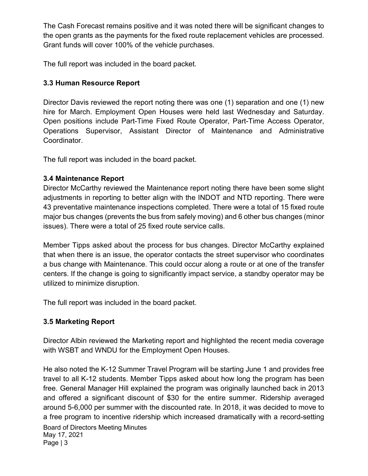The Cash Forecast remains positive and it was noted there will be significant changes to the open grants as the payments for the fixed route replacement vehicles are processed. Grant funds will cover 100% of the vehicle purchases.

The full report was included in the board packet.

## 3.3 Human Resource Report

Director Davis reviewed the report noting there was one (1) separation and one (1) new hire for March. Employment Open Houses were held last Wednesday and Saturday. Open positions include Part-Time Fixed Route Operator, Part-Time Access Operator, Operations Supervisor, Assistant Director of Maintenance and Administrative Coordinator.

The full report was included in the board packet.

# 3.4 Maintenance Report

Director McCarthy reviewed the Maintenance report noting there have been some slight adjustments in reporting to better align with the INDOT and NTD reporting. There were 43 preventative maintenance inspections completed. There were a total of 15 fixed route major bus changes (prevents the bus from safely moving) and 6 other bus changes (minor issues). There were a total of 25 fixed route service calls.

Member Tipps asked about the process for bus changes. Director McCarthy explained that when there is an issue, the operator contacts the street supervisor who coordinates a bus change with Maintenance. This could occur along a route or at one of the transfer centers. If the change is going to significantly impact service, a standby operator may be utilized to minimize disruption.

The full report was included in the board packet.

# 3.5 Marketing Report

Director Albin reviewed the Marketing report and highlighted the recent media coverage with WSBT and WNDU for the Employment Open Houses.

Board of Directors Meeting Minutes May 17, 2021 Page | 3 He also noted the K-12 Summer Travel Program will be starting June 1 and provides free travel to all K-12 students. Member Tipps asked about how long the program has been free. General Manager Hill explained the program was originally launched back in 2013 and offered a significant discount of \$30 for the entire summer. Ridership averaged around 5-6,000 per summer with the discounted rate. In 2018, it was decided to move to a free program to incentive ridership which increased dramatically with a record-setting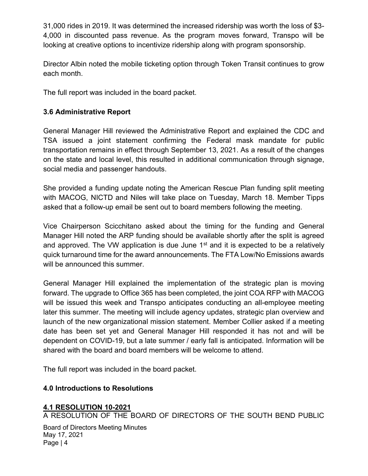31,000 rides in 2019. It was determined the increased ridership was worth the loss of \$3- 4,000 in discounted pass revenue. As the program moves forward, Transpo will be looking at creative options to incentivize ridership along with program sponsorship.

Director Albin noted the mobile ticketing option through Token Transit continues to grow each month.

The full report was included in the board packet.

## 3.6 Administrative Report

General Manager Hill reviewed the Administrative Report and explained the CDC and TSA issued a joint statement confirming the Federal mask mandate for public transportation remains in effect through September 13, 2021. As a result of the changes on the state and local level, this resulted in additional communication through signage, social media and passenger handouts.

She provided a funding update noting the American Rescue Plan funding split meeting with MACOG, NICTD and Niles will take place on Tuesday, March 18. Member Tipps asked that a follow-up email be sent out to board members following the meeting.

Vice Chairperson Scicchitano asked about the timing for the funding and General Manager Hill noted the ARP funding should be available shortly after the split is agreed and approved. The VW application is due June 1<sup>st</sup> and it is expected to be a relatively quick turnaround time for the award announcements. The FTA Low/No Emissions awards will be announced this summer.

General Manager Hill explained the implementation of the strategic plan is moving forward. The upgrade to Office 365 has been completed, the joint COA RFP with MACOG will be issued this week and Transpo anticipates conducting an all-employee meeting later this summer. The meeting will include agency updates, strategic plan overview and launch of the new organizational mission statement. Member Collier asked if a meeting date has been set yet and General Manager Hill responded it has not and will be dependent on COVID-19, but a late summer / early fall is anticipated. Information will be shared with the board and board members will be welcome to attend.

The full report was included in the board packet.

### 4.0 Introductions to Resolutions

### 4.1 RESOLUTION 10-2021

A RESOLUTION OF THE BOARD OF DIRECTORS OF THE SOUTH BEND PUBLIC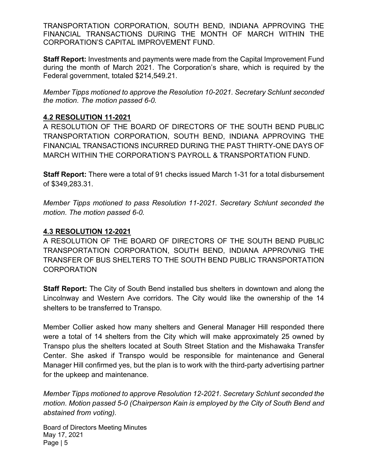TRANSPORTATION CORPORATION, SOUTH BEND, INDIANA APPROVING THE FINANCIAL TRANSACTIONS DURING THE MONTH OF MARCH WITHIN THE CORPORATION'S CAPITAL IMPROVEMENT FUND.

Staff Report: Investments and payments were made from the Capital Improvement Fund during the month of March 2021. The Corporation's share, which is required by the Federal government, totaled \$214,549.21.

Member Tipps motioned to approve the Resolution 10-2021. Secretary Schlunt seconded the motion. The motion passed 6-0.

#### 4.2 RESOLUTION 11-2021

A RESOLUTION OF THE BOARD OF DIRECTORS OF THE SOUTH BEND PUBLIC TRANSPORTATION CORPORATION, SOUTH BEND, INDIANA APPROVING THE FINANCIAL TRANSACTIONS INCURRED DURING THE PAST THIRTY-ONE DAYS OF MARCH WITHIN THE CORPORATION'S PAYROLL & TRANSPORTATION FUND.

Staff Report: There were a total of 91 checks issued March 1-31 for a total disbursement of \$349,283.31.

Member Tipps motioned to pass Resolution 11-2021. Secretary Schlunt seconded the motion. The motion passed 6-0.

#### 4.3 RESOLUTION 12-2021

A RESOLUTION OF THE BOARD OF DIRECTORS OF THE SOUTH BEND PUBLIC TRANSPORTATION CORPORATION, SOUTH BEND, INDIANA APPROVNIG THE TRANSFER OF BUS SHELTERS TO THE SOUTH BEND PUBLIC TRANSPORTATION **CORPORATION** 

Staff Report: The City of South Bend installed bus shelters in downtown and along the Lincolnway and Western Ave corridors. The City would like the ownership of the 14 shelters to be transferred to Transpo.

Member Collier asked how many shelters and General Manager Hill responded there were a total of 14 shelters from the City which will make approximately 25 owned by Transpo plus the shelters located at South Street Station and the Mishawaka Transfer Center. She asked if Transpo would be responsible for maintenance and General Manager Hill confirmed yes, but the plan is to work with the third-party advertising partner for the upkeep and maintenance.

Member Tipps motioned to approve Resolution 12-2021. Secretary Schlunt seconded the motion. Motion passed 5-0 (Chairperson Kain is employed by the City of South Bend and abstained from voting).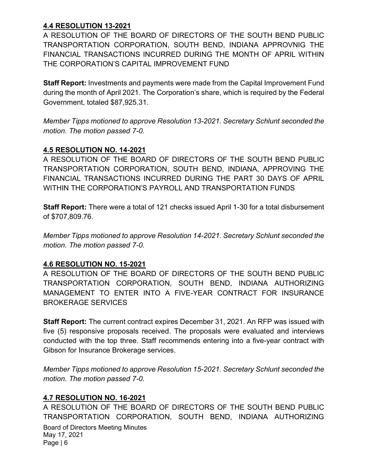### 4.4 RESOLUTION 13-2021

A RESOLUTION OF THE BOARD OF DIRECTORS OF THE SOUTH BEND PUBLIC TRANSPORTATION CORPORATION, SOUTH BEND, INDIANA APPROVNIG THE FINANCIAL TRANSACTIONS INCURRED DURING THE MONTH OF APRIL WITHIN THE CORPORATION'S CAPITAL IMPROVEMENT FUND

Staff Report: Investments and payments were made from the Capital Improvement Fund during the month of April 2021. The Corporation's share, which is required by the Federal Government, totaled \$87,925.31.

Member Tipps motioned to approve Resolution 13-2021. Secretary Schlunt seconded the motion. The motion passed 7-0.

## 4.5 RESOLUTION NO. 14-2021

A RESOLUTION OF THE BOARD OF DIRECTORS OF THE SOUTH BEND PUBLIC TRANSPORTATION CORPORATION, SOUTH BEND, INDIANA, APPROVING THE FINANCIAL TRANSACTIONS INCURRED DURING THE PART 30 DAYS OF APRIL WITHIN THE CORPORATION'S PAYROLL AND TRANSPORTATION FUNDS

Staff Report: There were a total of 121 checks issued April 1-30 for a total disbursement of \$707,809.76.

Member Tipps motioned to approve Resolution 14-2021. Secretary Schlunt seconded the motion. The motion passed 7-0.

### 4.6 RESOLUTION NO. 15-2021

A RESOLUTION OF THE BOARD OF DIRECTORS OF THE SOUTH BEND PUBLIC TRANSPORTATION CORPORATION, SOUTH BEND, INDIANA AUTHORIZING MANAGEMENT TO ENTER INTO A FIVE-YEAR CONTRACT FOR INSURANCE BROKERAGE SERVICES

Staff Report: The current contract expires December 31, 2021. An RFP was issued with five (5) responsive proposals received. The proposals were evaluated and interviews conducted with the top three. Staff recommends entering into a five-year contract with Gibson for Insurance Brokerage services.

Member Tipps motioned to approve Resolution 15-2021. Secretary Schlunt seconded the motion. The motion passed 7-0.

## 4.7 RESOLUTION NO. 16-2021

Board of Directors Meeting Minutes May 17, 2021 Page | 6 A RESOLUTION OF THE BOARD OF DIRECTORS OF THE SOUTH BEND PUBLIC TRANSPORTATION CORPORATION, SOUTH BEND, INDIANA AUTHORIZING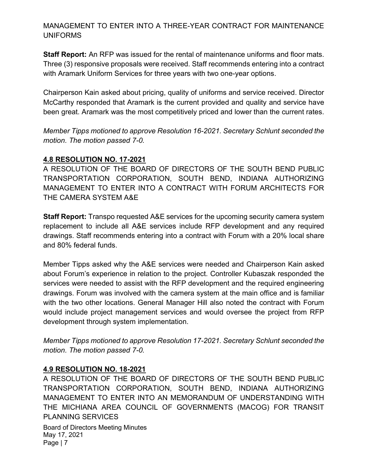MANAGEMENT TO ENTER INTO A THREE-YEAR CONTRACT FOR MAINTENANCE UNIFORMS

Staff Report: An RFP was issued for the rental of maintenance uniforms and floor mats. Three (3) responsive proposals were received. Staff recommends entering into a contract with Aramark Uniform Services for three years with two one-year options.

Chairperson Kain asked about pricing, quality of uniforms and service received. Director McCarthy responded that Aramark is the current provided and quality and service have been great. Aramark was the most competitively priced and lower than the current rates.

Member Tipps motioned to approve Resolution 16-2021. Secretary Schlunt seconded the motion. The motion passed 7-0.

#### 4.8 RESOLUTION NO. 17-2021

A RESOLUTION OF THE BOARD OF DIRECTORS OF THE SOUTH BEND PUBLIC TRANSPORTATION CORPORATION, SOUTH BEND, INDIANA AUTHORIZING MANAGEMENT TO ENTER INTO A CONTRACT WITH FORUM ARCHITECTS FOR THE CAMERA SYSTEM A&E

Staff Report: Transpo requested A&E services for the upcoming security camera system replacement to include all A&E services include RFP development and any required drawings. Staff recommends entering into a contract with Forum with a 20% local share and 80% federal funds.

Member Tipps asked why the A&E services were needed and Chairperson Kain asked about Forum's experience in relation to the project. Controller Kubaszak responded the services were needed to assist with the RFP development and the required engineering drawings. Forum was involved with the camera system at the main office and is familiar with the two other locations. General Manager Hill also noted the contract with Forum would include project management services and would oversee the project from RFP development through system implementation.

Member Tipps motioned to approve Resolution 17-2021. Secretary Schlunt seconded the motion. The motion passed 7-0.

### 4.9 RESOLUTION NO. 18-2021

A RESOLUTION OF THE BOARD OF DIRECTORS OF THE SOUTH BEND PUBLIC TRANSPORTATION CORPORATION, SOUTH BEND, INDIANA AUTHORIZING MANAGEMENT TO ENTER INTO AN MEMORANDUM OF UNDERSTANDING WITH THE MICHIANA AREA COUNCIL OF GOVERNMENTS (MACOG) FOR TRANSIT PLANNING SERVICES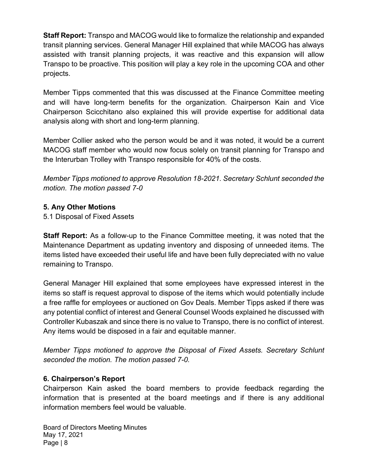Staff Report: Transpo and MACOG would like to formalize the relationship and expanded transit planning services. General Manager Hill explained that while MACOG has always assisted with transit planning projects, it was reactive and this expansion will allow Transpo to be proactive. This position will play a key role in the upcoming COA and other projects.

Member Tipps commented that this was discussed at the Finance Committee meeting and will have long-term benefits for the organization. Chairperson Kain and Vice Chairperson Scicchitano also explained this will provide expertise for additional data analysis along with short and long-term planning.

Member Collier asked who the person would be and it was noted, it would be a current MACOG staff member who would now focus solely on transit planning for Transpo and the Interurban Trolley with Transpo responsible for 40% of the costs.

Member Tipps motioned to approve Resolution 18-2021. Secretary Schlunt seconded the motion. The motion passed 7-0

### 5. Any Other Motions

5.1 Disposal of Fixed Assets

Staff Report: As a follow-up to the Finance Committee meeting, it was noted that the Maintenance Department as updating inventory and disposing of unneeded items. The items listed have exceeded their useful life and have been fully depreciated with no value remaining to Transpo.

General Manager Hill explained that some employees have expressed interest in the items so staff is request approval to dispose of the items which would potentially include a free raffle for employees or auctioned on Gov Deals. Member Tipps asked if there was any potential conflict of interest and General Counsel Woods explained he discussed with Controller Kubaszak and since there is no value to Transpo, there is no conflict of interest. Any items would be disposed in a fair and equitable manner.

Member Tipps motioned to approve the Disposal of Fixed Assets. Secretary Schlunt seconded the motion. The motion passed 7-0.

### 6. Chairperson's Report

Chairperson Kain asked the board members to provide feedback regarding the information that is presented at the board meetings and if there is any additional information members feel would be valuable.